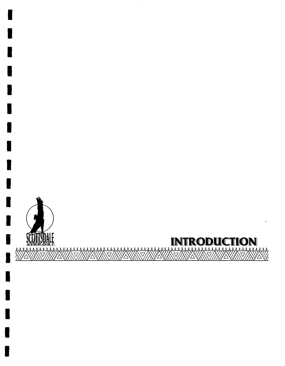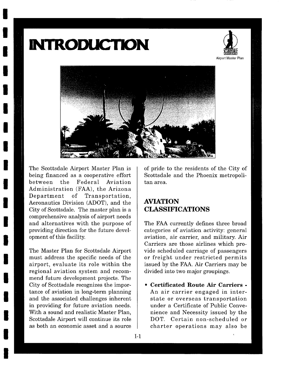## **INTRODUCTION**





The Scottsdale Airport Master Plan is being financed as a cooperative effort between the Federal Aviation Administration (FAA), the Arizona Department of Transportation, Aeronautics Division (ADOT), and the City of Scottsdale. The master plan is a comprehensive analysis of airport needs and alternatives with the purpose of providing direction for the future development of this facility.

The Master Plan for Scottsdale Airport must address the specific needs of the airport, evaluate its role within the regional aviation system and recommend future development projects. The City of Scottsdale recognizes the importance of aviation in long-term planning and the associated challenges inherent in providing for future aviation needs. With a sound and realistic Master Plan, Scottsdale Airport will continue its role as both an economic asset and a source

of pride to the residents of the City of Scottsdale and the Phoenix metropolitan area.

## **AVIATION CLASSIFICATIONS**

The FAA currently defines three broad categories of aviation activity: general aviation, air carrier, and military. Air Carriers are those airlines which provide scheduled carriage of passengers or freight under restricted permits issued by the FAA. Air Carriers may be divided into two major groupings.

**• Certificated Route Air Carriers -**  An air carrier engaged in interstate or overseas transportation under a Certificate of Public Convenience and Necessity issued by the DOT. Certain non-scheduled or charter operations may also be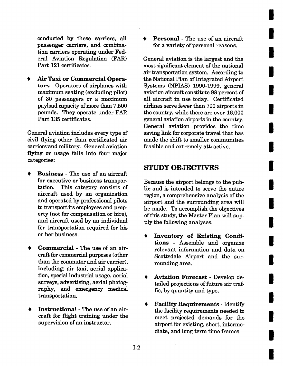conducted by these carriers, all passenger carriers, and combination carriers operating under Federal Aviation Regulation (FAR) Part 121 certificates.

Air Taxi **or Commercial** Operators - Operators of airplanes with maximum seating (excluding pilot) of 30 passengers or a maximum payload capacity of more than 7,500 pounds. They operate under FAR Part 135 certificates.

General aviation includes every type of civil flying other than certificated air carriers'and military. General aviation flying or usage falls into four major categories:

- **Business** The use of an aircraft for executive or business transportation. This category consists of aircraft used by an organization and operated by professional pilots to transport its employees and property (not for compensation or hire), and aircraft used by an individual for transportation required for his or her business.
- **Commercial**  The use of an aircraft for commercial purposes (other than the commuter and air carrier), including: air taxi, aerial application, special industrial usage, aerial surveys, advertising, aerial photography, and emergency medical transportation.
- **Instructional**  The use of an aircraft for flight training under the supervision of an instructor.

• Personal - The use of an aircraft for a variety of personal reasons.

**I** 

**I** 

**I** 

**I** 

**I** 

**I** 

**i** 

**I** 

**I** 

**I** 

**I** 

**I** 

**i** 

**i** 

**!** 

**I** 

**I** 

**i** 

General aviation is the largest and the most significant element of the national air transportation system. According to the National Plan of Integrated Airport Systems (NPIAS) 1990-1999, general aviation aircraft constitute 98 percent of all aircraft in use today. Certificated airlines serve fewer than 700 airports in the country, while there are over 16,000 general aviation airports in the country. General aviation provides the time saving link for corporate travel that has made the shift to smaller communities feasible and extremely attractive.

## **STUDY OBJECTIVES**

Because the airport belongs to the public and is intended to serve the entire region, a comprehensive analysis of the airport and the surrounding area will be made. To accomplish the objectives of this study, the Master Plan will supply the following analyses.

- Inventory of Existing Conditions - Assemble and organize relevant information and data on Scottsdale Airport and the surrounding area.
- Aviation Forecast Develop detailed projections of future air traffic, by quantity and type.
- Facility Requirements Identify the facility requirements needed to meet projected demands for the airport for existing, short, intermediate, and long term time frames.